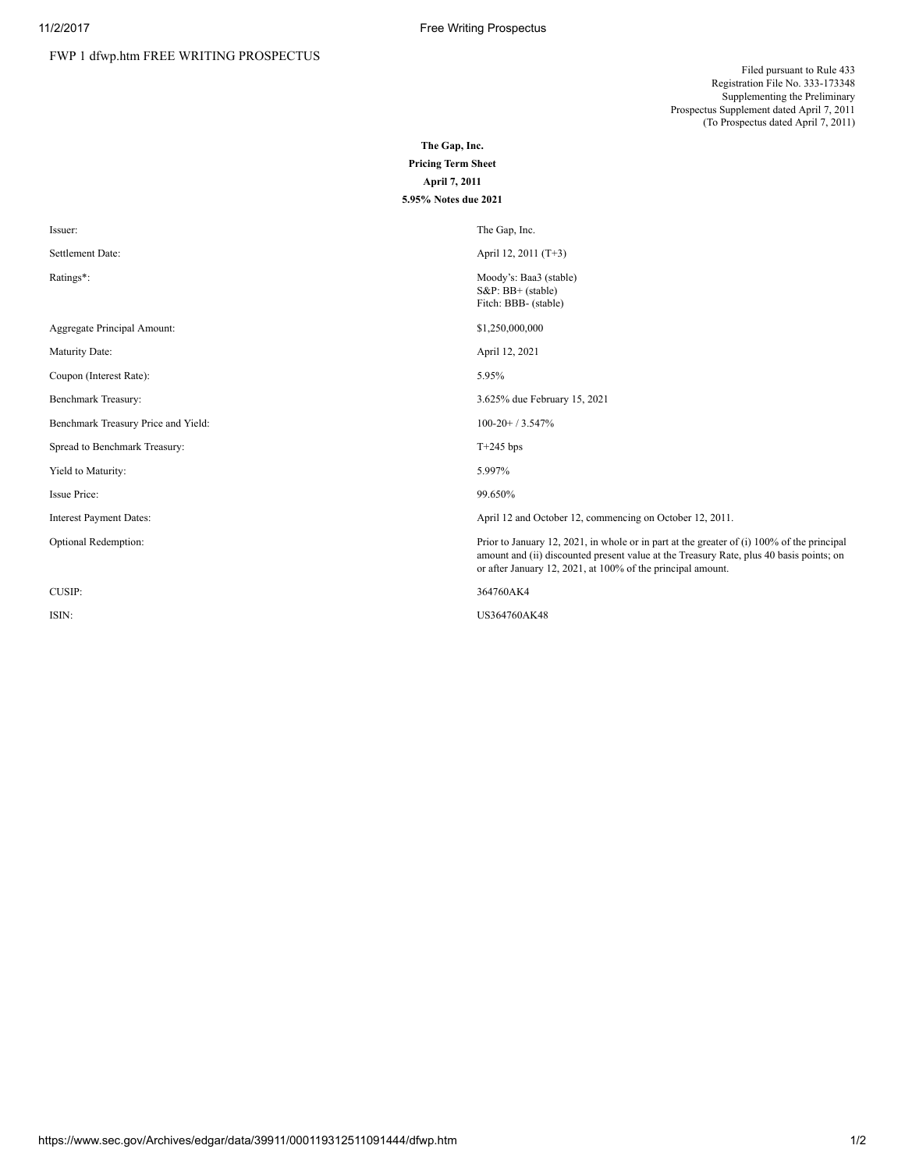Filed pursuant to Rule 433 Registration File No. 333-173348 Supplementing the Preliminary Prospectus Supplement dated April 7, 2011 (To Prospectus dated April 7, 2011)

The Gap, Inc. Pricing Term Sheet April 7, 2011

| 5.95% Notes due 2021                |                                                                                                                                                                                                                                                      |
|-------------------------------------|------------------------------------------------------------------------------------------------------------------------------------------------------------------------------------------------------------------------------------------------------|
| Issuer:                             | The Gap, Inc.                                                                                                                                                                                                                                        |
| Settlement Date:                    | April 12, 2011 (T+3)                                                                                                                                                                                                                                 |
| Ratings*:                           | Moody's: Baa3 (stable)<br>$S\&P$ : BB+ (stable)<br>Fitch: BBB- (stable)                                                                                                                                                                              |
| Aggregate Principal Amount:         | \$1,250,000,000                                                                                                                                                                                                                                      |
| Maturity Date:                      | April 12, 2021                                                                                                                                                                                                                                       |
| Coupon (Interest Rate):             | 5.95%                                                                                                                                                                                                                                                |
| Benchmark Treasury:                 | 3.625% due February 15, 2021                                                                                                                                                                                                                         |
| Benchmark Treasury Price and Yield: | $100-20+73.547%$                                                                                                                                                                                                                                     |
| Spread to Benchmark Treasury:       | $T+245$ bps                                                                                                                                                                                                                                          |
| Yield to Maturity:                  | 5.997%                                                                                                                                                                                                                                               |
| Issue Price:                        | 99.650%                                                                                                                                                                                                                                              |
| <b>Interest Payment Dates:</b>      | April 12 and October 12, commencing on October 12, 2011.                                                                                                                                                                                             |
| Optional Redemption:                | Prior to January 12, 2021, in whole or in part at the greater of (i) 100% of the principal<br>amount and (ii) discounted present value at the Treasury Rate, plus 40 basis points; on<br>or after January 12, 2021, at 100% of the principal amount. |
| CUSIP:                              | 364760AK4                                                                                                                                                                                                                                            |
| ISIN:                               | US364760AK48                                                                                                                                                                                                                                         |
|                                     |                                                                                                                                                                                                                                                      |